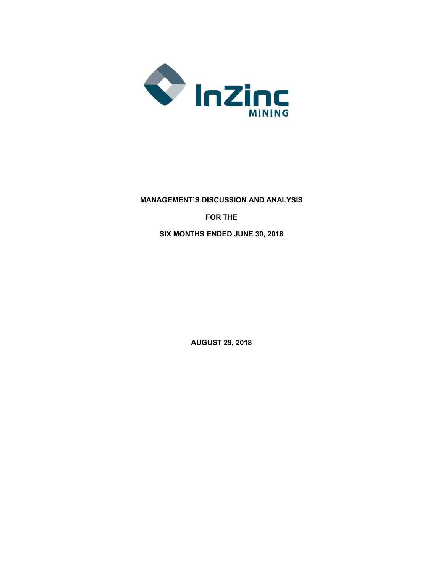

# **MANAGEMENT'S DISCUSSION AND ANALYSIS FOR THE SIX MONTHS ENDED JUNE 30, 2018**

**AUGUST 29, 2018**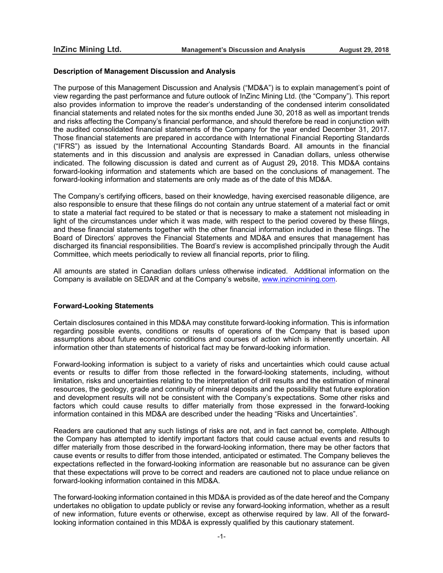#### **Description of Management Discussion and Analysis**

The purpose of this Management Discussion and Analysis ("MD&A") is to explain management's point of view regarding the past performance and future outlook of InZinc Mining Ltd. (the "Company"). This report also provides information to improve the reader's understanding of the condensed interim consolidated financial statements and related notes for the six months ended June 30, 2018 as well as important trends and risks affecting the Company's financial performance, and should therefore be read in conjunction with the audited consolidated financial statements of the Company for the year ended December 31, 2017. Those financial statements are prepared in accordance with International Financial Reporting Standards ("IFRS") as issued by the International Accounting Standards Board. All amounts in the financial statements and in this discussion and analysis are expressed in Canadian dollars, unless otherwise indicated. The following discussion is dated and current as of August 29**,** 2018. This MD&A contains forward-looking information and statements which are based on the conclusions of management. The forward-looking information and statements are only made as of the date of this MD&A.

The Company's certifying officers, based on their knowledge, having exercised reasonable diligence, are also responsible to ensure that these filings do not contain any untrue statement of a material fact or omit to state a material fact required to be stated or that is necessary to make a statement not misleading in light of the circumstances under which it was made, with respect to the period covered by these filings, and these financial statements together with the other financial information included in these filings. The Board of Directors' approves the Financial Statements and MD&A and ensures that management has discharged its financial responsibilities. The Board's review is accomplished principally through the Audit Committee, which meets periodically to review all financial reports, prior to filing.

All amounts are stated in Canadian dollars unless otherwise indicated. Additional information on the Company is available on SEDAR and at the Company's website, www.inzincmining.com.

## **Forward-Looking Statements**

Certain disclosures contained in this MD&A may constitute forward-looking information. This is information regarding possible events, conditions or results of operations of the Company that is based upon assumptions about future economic conditions and courses of action which is inherently uncertain. All information other than statements of historical fact may be forward-looking information.

Forward-looking information is subject to a variety of risks and uncertainties which could cause actual events or results to differ from those reflected in the forward-looking statements, including, without limitation, risks and uncertainties relating to the interpretation of drill results and the estimation of mineral resources, the geology, grade and continuity of mineral deposits and the possibility that future exploration and development results will not be consistent with the Company's expectations. Some other risks and factors which could cause results to differ materially from those expressed in the forward-looking information contained in this MD&A are described under the heading "Risks and Uncertainties".

Readers are cautioned that any such listings of risks are not, and in fact cannot be, complete. Although the Company has attempted to identify important factors that could cause actual events and results to differ materially from those described in the forward-looking information, there may be other factors that cause events or results to differ from those intended, anticipated or estimated. The Company believes the expectations reflected in the forward-looking information are reasonable but no assurance can be given that these expectations will prove to be correct and readers are cautioned not to place undue reliance on forward-looking information contained in this MD&A.

The forward-looking information contained in this MD&A is provided as of the date hereof and the Company undertakes no obligation to update publicly or revise any forward-looking information, whether as a result of new information, future events or otherwise, except as otherwise required by law. All of the forwardlooking information contained in this MD&A is expressly qualified by this cautionary statement.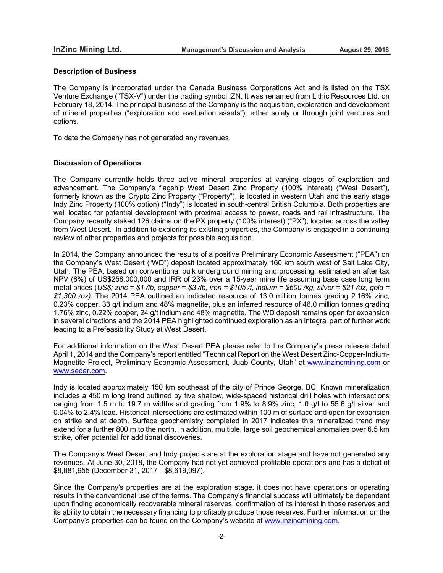### **Description of Business**

The Company is incorporated under the Canada Business Corporations Act and is listed on the TSX Venture Exchange ("TSX-V") under the trading symbol IZN. It was renamed from Lithic Resources Ltd. on February 18, 2014. The principal business of the Company is the acquisition, exploration and development of mineral properties ("exploration and evaluation assets"), either solely or through joint ventures and options.

To date the Company has not generated any revenues.

# **Discussion of Operations**

The Company currently holds three active mineral properties at varying stages of exploration and advancement. The Company's flagship West Desert Zinc Property (100% interest) ("West Desert"), formerly known as the Crypto Zinc Property ("Property"), is located in western Utah and the early stage Indy Zinc Property (100% option) ("Indy") is located in south-central British Columbia. Both properties are well located for potential development with proximal access to power, roads and rail infrastructure. The Company recently staked 126 claims on the PX property (100% interest) ("PX"), located across the valley from West Desert. In addition to exploring its existing properties, the Company is engaged in a continuing review of other properties and projects for possible acquisition.

In 2014, the Company announced the results of a positive Preliminary Economic Assessment ("PEA") on the Company's West Desert ("WD") deposit located approximately 160 km south west of Salt Lake City, Utah. The PEA, based on conventional bulk underground mining and processing, estimated an after tax NPV (8%) of US\$258,000,000 and IRR of 23% over a 15-year mine life assuming base case long term metal prices (US\$; zinc = \$1 /lb, copper = \$3 /lb, iron = \$105 /t, indium = \$600 /kg, silver = \$21 /oz, gold = *\$1,300 /oz)*. The 2014 PEA outlined an indicated resource of 13.0 million tonnes grading 2.16% zinc, 0.23% copper, 33 g/t indium and 48% magnetite, plus an inferred resource of 46.0 million tonnes grading 1.76% zinc, 0.22% copper, 24 g/t indium and 48% magnetite. The WD deposit remains open for expansion in several directions and the 2014 PEA highlighted continued exploration as an integral part of further work leading to a Prefeasibility Study at West Desert.

For additional information on the West Desert PEA please refer to the Company's press release dated April 1, 2014 and the Company's report entitled "Technical Report on the West Desert Zinc-Copper-Indium-Magnetite Project, Preliminary Economic Assessment, Juab County, Utah" at www.inzincmining.com or www.sedar.com.

Indy is located approximately 150 km southeast of the city of Prince George, BC. Known mineralization includes a 450 m long trend outlined by five shallow, wide-spaced historical drill holes with intersections ranging from 1.5 m to 19.7 m widths and grading from 1.9% to 8.9% zinc, 1.0 g/t to 55.6 g/t silver and 0.04% to 2.4% lead. Historical intersections are estimated within 100 m of surface and open for expansion on strike and at depth. Surface geochemistry completed in 2017 indicates this mineralized trend may extend for a further 800 m to the north. In addition, multiple, large soil geochemical anomalies over 6.5 km strike, offer potential for additional discoveries.

The Company's West Desert and Indy projects are at the exploration stage and have not generated any revenues. At June 30, 2018, the Company had not yet achieved profitable operations and has a deficit of \$8,881,955 (December 31, 2017 - \$8,619,097).

Since the Company's properties are at the exploration stage, it does not have operations or operating results in the conventional use of the terms. The Company's financial success will ultimately be dependent upon finding economically recoverable mineral reserves, confirmation of its interest in those reserves and its ability to obtain the necessary financing to profitably produce those reserves. Further information on the Company's properties can be found on the Company's website at www.inzincmining.com.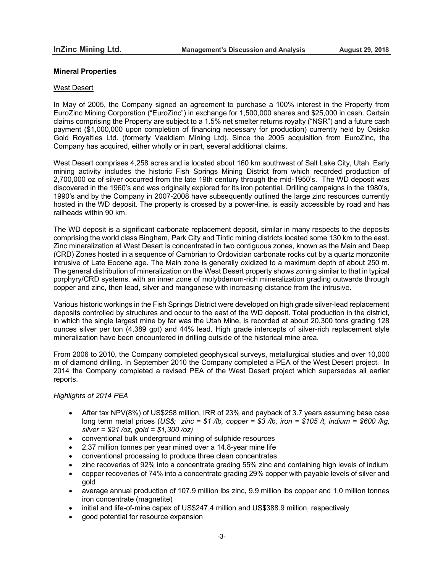# **Mineral Properties**

#### West Desert

In May of 2005, the Company signed an agreement to purchase a 100% interest in the Property from EuroZinc Mining Corporation ("EuroZinc") in exchange for 1,500,000 shares and \$25,000 in cash. Certain claims comprising the Property are subject to a 1.5% net smelter returns royalty ("NSR") and a future cash payment (\$1,000,000 upon completion of financing necessary for production) currently held by Osisko Gold Royalties Ltd. (formerly Vaaldiam Mining Ltd). Since the 2005 acquisition from EuroZinc, the Company has acquired, either wholly or in part, several additional claims.

West Desert comprises 4,258 acres and is located about 160 km southwest of Salt Lake City, Utah. Early mining activity includes the historic Fish Springs Mining District from which recorded production of 2,700,000 oz of silver occurred from the late 19th century through the mid-1950's. The WD deposit was discovered in the 1960's and was originally explored for its iron potential. Drilling campaigns in the 1980's, 1990's and by the Company in 2007-2008 have subsequently outlined the large zinc resources currently hosted in the WD deposit. The property is crossed by a power-line, is easily accessible by road and has railheads within 90 km.

The WD deposit is a significant carbonate replacement deposit, similar in many respects to the deposits comprising the world class Bingham, Park City and Tintic mining districts located some 130 km to the east. Zinc mineralization at West Desert is concentrated in two contiguous zones, known as the Main and Deep (CRD) Zones hosted in a sequence of Cambrian to Ordovician carbonate rocks cut by a quartz monzonite intrusive of Late Eocene age. The Main zone is generally oxidized to a maximum depth of about 250 m. The general distribution of mineralization on the West Desert property shows zoning similar to that in typical porphyry/CRD systems, with an inner zone of molybdenum-rich mineralization grading outwards through copper and zinc, then lead, silver and manganese with increasing distance from the intrusive.

Various historic workings in the Fish Springs District were developed on high grade silver-lead replacement deposits controlled by structures and occur to the east of the WD deposit. Total production in the district, in which the single largest mine by far was the Utah Mine, is recorded at about 20,300 tons grading 128 ounces silver per ton (4,389 gpt) and 44% lead. High grade intercepts of silver-rich replacement style mineralization have been encountered in drilling outside of the historical mine area.

From 2006 to 2010, the Company completed geophysical surveys, metallurgical studies and over 10,000 m of diamond drilling. In September 2010 the Company completed a PEA of the West Desert project. In 2014 the Company completed a revised PEA of the West Desert project which supersedes all earlier reports.

## *Highlights of 2014 PEA*

- After tax NPV(8%) of US\$258 million, IRR of 23% and payback of 3.7 years assuming base case long term metal prices (*US\$; zinc = \$1 /lb, copper = \$3 /lb, iron = \$105 /t, indium = \$600 /kg, silver = \$21 /oz, gold = \$1,300 /oz)*
- conventional bulk underground mining of sulphide resources
- 2.37 million tonnes per year mined over a 14.8-year mine life
- conventional processing to produce three clean concentrates
- zinc recoveries of 92% into a concentrate grading 55% zinc and containing high levels of indium
- copper recoveries of 74% into a concentrate grading 29% copper with payable levels of silver and gold
- average annual production of 107.9 million lbs zinc, 9.9 million lbs copper and 1.0 million tonnes iron concentrate (magnetite)
- initial and life-of-mine capex of US\$247.4 million and US\$388.9 million, respectively
- good potential for resource expansion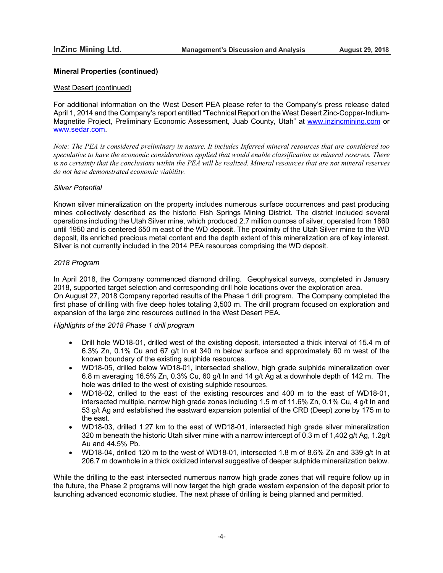# **Mineral Properties (continued)**

## West Desert (continued)

For additional information on the West Desert PEA please refer to the Company's press release dated April 1, 2014 and the Company's report entitled "Technical Report on the West Desert Zinc-Copper-Indium-Magnetite Project, Preliminary Economic Assessment, Juab County, Utah" at www.inzincmining.com or www.sedar.com.

Note: The PEA is considered preliminary in nature. It includes Inferred mineral resources that are considered too *speculative to have the economic considerations applied that would enable classification as mineral reserves. There* is no certainty that the conclusions within the PEA will be realized. Mineral resources that are not mineral reserves *do not have demonstrated economic viability.*

# *Silver Potential*

Known silver mineralization on the property includes numerous surface occurrences and past producing mines collectively described as the historic Fish Springs Mining District. The district included several operations including the Utah Silver mine, which produced 2.7 million ounces of silver, operated from 1860 until 1950 and is centered 650 m east of the WD deposit. The proximity of the Utah Silver mine to the WD deposit, its enriched precious metal content and the depth extent of this mineralization are of key interest. Silver is not currently included in the 2014 PEA resources comprising the WD deposit.

# *2018 Program*

In April 2018, the Company commenced diamond drilling. Geophysical surveys, completed in January 2018, supported target selection and corresponding drill hole locations over the exploration area. On August 27, 2018 Company reported results of the Phase 1 drill program. The Company completed the first phase of drilling with five deep holes totaling 3,500 m. The drill program focused on exploration and expansion of the large zinc resources outlined in the West Desert PEA.

# *Highlights of the 2018 Phase 1 drill program*

- Drill hole WD18-01, drilled west of the existing deposit, intersected a thick interval of 15.4 m of 6.3% Zn, 0.1% Cu and 67 g/t In at 340 m below surface and approximately 60 m west of the known boundary of the existing sulphide resources.
- WD18-05, drilled below WD18-01, intersected shallow, high grade sulphide mineralization over 6.8 m averaging 16.5% Zn, 0.3% Cu, 60 g/t In and 14 g/t Ag at a downhole depth of 142 m. The hole was drilled to the west of existing sulphide resources.
- WD18-02, drilled to the east of the existing resources and 400 m to the east of WD18-01, intersected multiple, narrow high grade zones including 1.5 m of 11.6% Zn, 0.1% Cu, 4 g/t In and 53 g/t Ag and established the eastward expansion potential of the CRD (Deep) zone by 175 m to the east.
- WD18-03, drilled 1.27 km to the east of WD18-01, intersected high grade silver mineralization 320 m beneath the historic Utah silver mine with a narrow intercept of 0.3 m of 1,402 g/t Ag, 1.2g/t Au and 44.5% Pb.
- WD18-04, drilled 120 m to the west of WD18-01, intersected 1.8 m of 8.6% Zn and 339 g/t In at 206.7 m downhole in a thick oxidized interval suggestive of deeper sulphide mineralization below.

While the drilling to the east intersected numerous narrow high grade zones that will require follow up in the future, the Phase 2 programs will now target the high grade western expansion of the deposit prior to launching advanced economic studies. The next phase of drilling is being planned and permitted.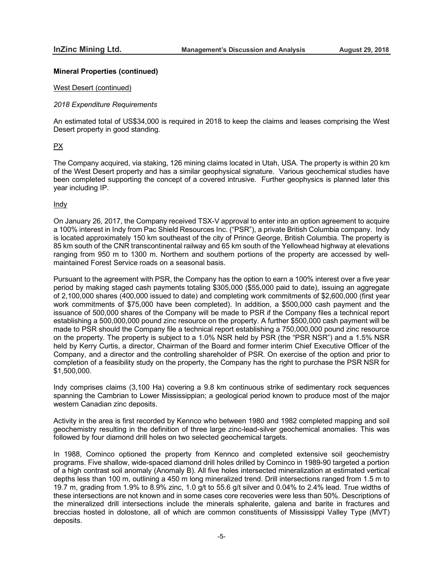## **Mineral Properties (continued)**

#### West Desert (continued)

## *2018 Expenditure Requirements*

An estimated total of US\$34,000 is required in 2018 to keep the claims and leases comprising the West Desert property in good standing.

# PX

The Company acquired, via staking, 126 mining claims located in Utah, USA. The property is within 20 km of the West Desert property and has a similar geophysical signature. Various geochemical studies have been completed supporting the concept of a covered intrusive. Further geophysics is planned later this year including IP.

# Indy

On January 26, 2017, the Company received TSX-V approval to enter into an option agreement to acquire a 100% interest in Indy from Pac Shield Resources Inc. ("PSR"), a private British Columbia company. Indy is located approximately 150 km southeast of the city of Prince George, British Columbia. The property is 85 km south of the CNR transcontinental railway and 65 km south of the Yellowhead highway at elevations ranging from 950 m to 1300 m. Northern and southern portions of the property are accessed by wellmaintained Forest Service roads on a seasonal basis.

Pursuant to the agreement with PSR, the Company has the option to earn a 100% interest over a five year period by making staged cash payments totaling \$305,000 (\$55,000 paid to date), issuing an aggregate of 2,100,000 shares (400,000 issued to date) and completing work commitments of \$2,600,000 (first year work commitments of \$75,000 have been completed). In addition, a \$500,000 cash payment and the issuance of 500,000 shares of the Company will be made to PSR if the Company files a technical report establishing a 500,000,000 pound zinc resource on the property. A further \$500,000 cash payment will be made to PSR should the Company file a technical report establishing a 750,000,000 pound zinc resource on the property. The property is subject to a 1.0% NSR held by PSR (the "PSR NSR") and a 1.5% NSR held by Kerry Curtis, a director, Chairman of the Board and former interim Chief Executive Officer of the Company, and a director and the controlling shareholder of PSR. On exercise of the option and prior to completion of a feasibility study on the property, the Company has the right to purchase the PSR NSR for \$1,500,000.

Indy comprises claims (3,100 Ha) covering a 9.8 km continuous strike of sedimentary rock sequences spanning the Cambrian to Lower Mississippian; a geological period known to produce most of the major western Canadian zinc deposits.

Activity in the area is first recorded by Kennco who between 1980 and 1982 completed mapping and soil geochemistry resulting in the definition of three large zinc-lead-silver geochemical anomalies. This was followed by four diamond drill holes on two selected geochemical targets.

In 1988, Cominco optioned the property from Kennco and completed extensive soil geochemistry programs. Five shallow, wide-spaced diamond drill holes drilled by Cominco in 1989-90 targeted a portion of a high contrast soil anomaly (Anomaly B). All five holes intersected mineralization at estimated vertical depths less than 100 m, outlining a 450 m long mineralized trend. Drill intersections ranged from 1.5 m to 19.7 m, grading from 1.9% to 8.9% zinc, 1.0 g/t to 55.6 g/t silver and 0.04% to 2.4% lead. True widths of these intersections are not known and in some cases core recoveries were less than 50%. Descriptions of the mineralized drill intersections include the minerals sphalerite, galena and barite in fractures and breccias hosted in dolostone, all of which are common constituents of Mississippi Valley Type (MVT) deposits.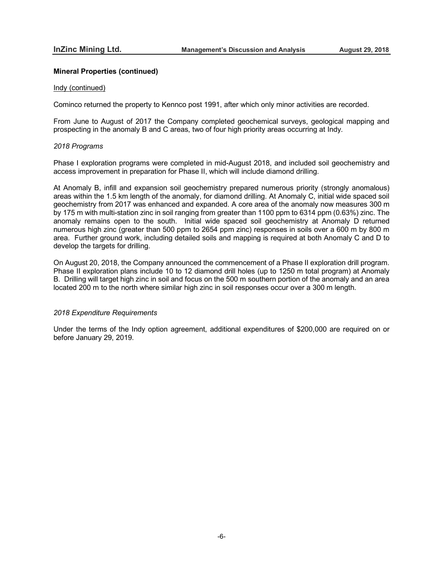# **Mineral Properties (continued)**

#### Indy (continued)

Cominco returned the property to Kennco post 1991, after which only minor activities are recorded.

From June to August of 2017 the Company completed geochemical surveys, geological mapping and prospecting in the anomaly B and C areas, two of four high priority areas occurring at Indy.

#### *2018 Programs*

Phase I exploration programs were completed in mid-August 2018, and included soil geochemistry and access improvement in preparation for Phase II, which will include diamond drilling.

At Anomaly B, infill and expansion soil geochemistry prepared numerous priority (strongly anomalous) areas within the 1.5 km length of the anomaly, for diamond drilling. At Anomaly C, initial wide spaced soil geochemistry from 2017 was enhanced and expanded. A core area of the anomaly now measures 300 m by 175 m with multi-station zinc in soil ranging from greater than 1100 ppm to 6314 ppm (0.63%) zinc. The anomaly remains open to the south. Initial wide spaced soil geochemistry at Anomaly D returned numerous high zinc (greater than 500 ppm to 2654 ppm zinc) responses in soils over a 600 m by 800 m area. Further ground work, including detailed soils and mapping is required at both Anomaly C and D to develop the targets for drilling.

On August 20, 2018, the Company announced the commencement of a Phase II exploration drill program. Phase II exploration plans include 10 to 12 diamond drill holes (up to 1250 m total program) at Anomaly B. Drilling will target high zinc in soil and focus on the 500 m southern portion of the anomaly and an area located 200 m to the north where similar high zinc in soil responses occur over a 300 m length.

#### *2018 Expenditure Requirements*

Under the terms of the Indy option agreement, additional expenditures of \$200,000 are required on or before January 29, 2019.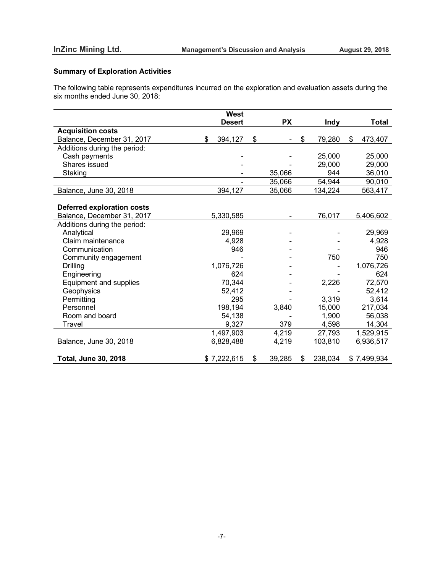# **Summary of Exploration Activities**

The following table represents expenditures incurred on the exploration and evaluation assets during the six months ended June 30, 2018:

|                                   | <b>West</b>   |              |               |               |
|-----------------------------------|---------------|--------------|---------------|---------------|
|                                   | <b>Desert</b> | <b>PX</b>    | <b>Indy</b>   | <b>Total</b>  |
| <b>Acquisition costs</b>          |               |              |               |               |
| Balance, December 31, 2017        | \$<br>394,127 | \$           | \$<br>79,280  | \$<br>473,407 |
| Additions during the period:      |               |              |               |               |
| Cash payments                     |               |              | 25,000        | 25,000        |
| Shares issued                     |               |              | 29,000        | 29,000        |
| Staking                           |               | 35,066       | 944           | 36,010        |
|                                   |               | 35,066       | 54,944        | 90,010        |
| Balance, June 30, 2018            | 394,127       | 35,066       | 134,224       | 563,417       |
|                                   |               |              |               |               |
| <b>Deferred exploration costs</b> |               |              |               |               |
| Balance, December 31, 2017        | 5,330,585     |              | 76,017        | 5,406,602     |
| Additions during the period:      |               |              |               |               |
| Analytical                        | 29,969        |              |               | 29,969        |
| Claim maintenance                 | 4,928         |              |               | 4,928         |
| Communication                     | 946           |              |               | 946           |
| Community engagement              |               |              | 750           | 750           |
| Drilling                          | 1,076,726     |              |               | 1,076,726     |
| Engineering                       | 624           |              |               | 624           |
| Equipment and supplies            | 70,344        |              | 2,226         | 72,570        |
| Geophysics                        | 52,412        |              |               | 52,412        |
| Permitting                        | 295           |              | 3,319         | 3,614         |
| Personnel                         | 198,194       | 3,840        | 15,000        | 217,034       |
| Room and board                    | 54,138        |              | 1,900         | 56,038        |
| Travel                            | 9,327         | 379          | 4,598         | 14,304        |
|                                   | 1,497,903     | 4,219        | 27,793        | 1,529,915     |
| Balance, June 30, 2018            | 6,828,488     | 4,219        | 103,810       | 6,936,517     |
|                                   |               |              |               |               |
| <b>Total, June 30, 2018</b>       | \$7,222,615   | \$<br>39,285 | \$<br>238,034 | \$7,499,934   |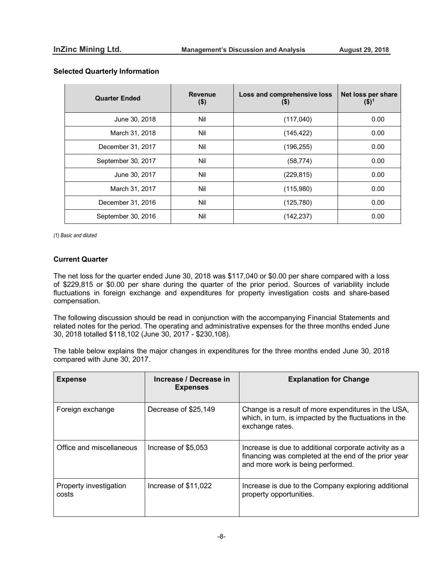|  | <b>Selected Quarterly Information</b> |
|--|---------------------------------------|
|  |                                       |

| <b>Quarter Ended</b> | <b>Revenue</b><br>$($ \$) | Loss and comprehensive loss<br>(9) | Net loss per share<br>$($ \$) $^1$ |
|----------------------|---------------------------|------------------------------------|------------------------------------|
| June 30, 2018        | Nil                       | (117,040)                          | 0.00                               |
| March 31, 2018       | Nil                       | (145, 422)                         | 0.00                               |
| December 31, 2017    | Nil                       | (196, 255)                         | 0.00                               |
| September 30, 2017   | Nil                       | (58, 774)                          | 0.00                               |
| June 30, 2017        | Nil                       | (229, 815)                         | 0.00                               |
| March 31, 2017       | Nil                       | (115,980)                          | 0.00                               |
| December 31, 2016    | Nil                       | (125, 780)                         | 0.00                               |
| September 30, 2016   | Nil                       | (142, 237)                         | 0.00                               |

*(1) Basic and diluted*

# **Current Quarter**

The net loss for the quarter ended June 30, 2018 was \$117,040 or \$0.00 per share compared with a loss of \$229,815 or \$0.00 per share during the quarter of the prior period. Sources of variability include fluctuations in foreign exchange and expenditures for property investigation costs and share-based compensation.

The following discussion should be read in conjunction with the accompanying Financial Statements and related notes for the period. The operating and administrative expenses for the three months ended June 30, 2018 totalled \$118,102 (June 30, 2017 - \$230,108).

The table below explains the major changes in expenditures for the three months ended June 30, 2018 compared with June 30, 2017.

| <b>Expense</b>                  | Increase / Decrease in<br><b>Expenses</b> | <b>Explanation for Change</b>                                                                                                                      |
|---------------------------------|-------------------------------------------|----------------------------------------------------------------------------------------------------------------------------------------------------|
| Foreign exchange                | Decrease of \$25,149                      | Change is a result of more expenditures in the USA,<br>which, in turn, is impacted by the fluctuations in the<br>exchange rates.                   |
| Office and miscellaneous        | Increase of \$5,053                       | Increase is due to additional corporate activity as a<br>financing was completed at the end of the prior year<br>and more work is being performed. |
| Property investigation<br>costs | Increase of \$11,022                      | Increase is due to the Company exploring additional<br>property opportunities.                                                                     |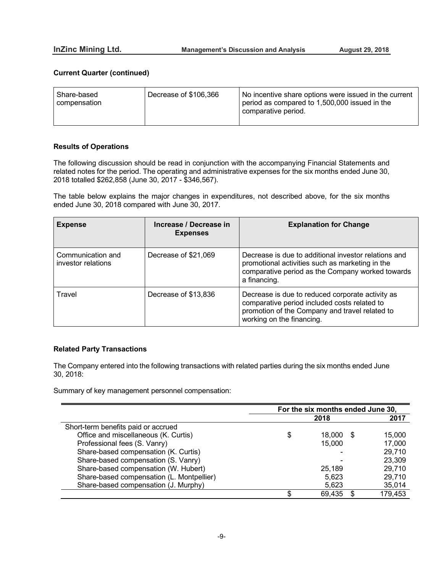# **Current Quarter (continued)**

| Share-based<br>compensation | Decrease of \$106,366 | No incentive share options were issued in the current<br>period as compared to 1,500,000 issued in the<br>comparative period. |
|-----------------------------|-----------------------|-------------------------------------------------------------------------------------------------------------------------------|
|-----------------------------|-----------------------|-------------------------------------------------------------------------------------------------------------------------------|

# **Results of Operations**

 $\overline{a}$ 

The following discussion should be read in conjunction with the accompanying Financial Statements and related notes for the period. The operating and administrative expenses for the six months ended June 30, 2018 totalled \$262,858 (June 30, 2017 - \$346,567).

The table below explains the major changes in expenditures, not described above, for the six months ended June 30, 2018 compared with June 30, 2017.

| <b>Expense</b>                          | Increase / Decrease in<br><b>Expenses</b> | <b>Explanation for Change</b>                                                                                                                                                   |
|-----------------------------------------|-------------------------------------------|---------------------------------------------------------------------------------------------------------------------------------------------------------------------------------|
| Communication and<br>investor relations | Decrease of \$21,069                      | Decrease is due to additional investor relations and<br>promotional activities such as marketing in the<br>comparative period as the Company worked towards<br>a financing.     |
| Travel                                  | Decrease of \$13,836                      | Decrease is due to reduced corporate activity as<br>comparative period included costs related to<br>promotion of the Company and travel related to<br>working on the financing. |

# **Related Party Transactions**

The Company entered into the following transactions with related parties during the six months ended June 30, 2018:

Summary of key management personnel compensation:

|                                           | For the six months ended June 30, |        |    |         |
|-------------------------------------------|-----------------------------------|--------|----|---------|
|                                           |                                   | 2018   |    | 2017    |
| Short-term benefits paid or accrued       |                                   |        |    |         |
| Office and miscellaneous (K. Curtis)      | \$                                | 18.000 | \$ | 15,000  |
| Professional fees (S. Vanry)              |                                   | 15.000 |    | 17,000  |
| Share-based compensation (K. Curtis)      |                                   |        |    | 29,710  |
| Share-based compensation (S. Vanry)       |                                   |        |    | 23,309  |
| Share-based compensation (W. Hubert)      |                                   | 25.189 |    | 29,710  |
| Share-based compensation (L. Montpellier) |                                   | 5,623  |    | 29,710  |
| Share-based compensation (J. Murphy)      |                                   | 5,623  |    | 35,014  |
|                                           |                                   | 69,435 |    | 179,453 |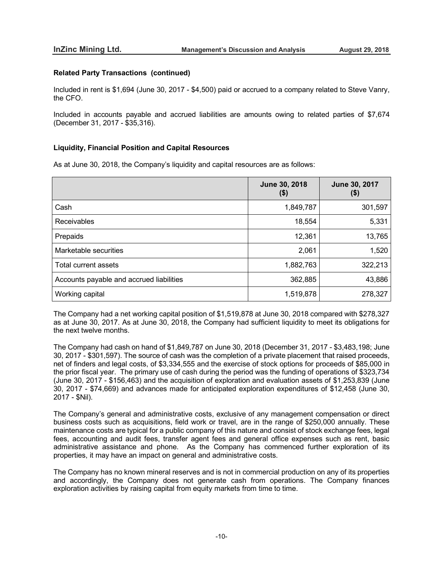# **Related Party Transactions (continued)**

Included in rent is \$1,694 (June 30, 2017 - \$4,500) paid or accrued to a company related to Steve Vanry, the CFO.

Included in accounts payable and accrued liabilities are amounts owing to related parties of \$7,674 (December 31, 2017 - \$35,316).

# **Liquidity, Financial Position and Capital Resources**

As at June 30, 2018, the Company's liquidity and capital resources are as follows:

|                                          | June 30, 2018<br>$($ \$) | June 30, 2017<br>(\$) |
|------------------------------------------|--------------------------|-----------------------|
| Cash                                     | 1,849,787                | 301,597               |
| Receivables                              | 18,554                   | 5,331                 |
| Prepaids                                 | 12,361                   | 13,765                |
| Marketable securities                    | 2,061                    | 1,520                 |
| Total current assets                     | 1,882,763                | 322,213               |
| Accounts payable and accrued liabilities | 362,885                  | 43,886                |
| Working capital                          | 1,519,878                | 278,327               |

The Company had a net working capital position of \$1,519,878 at June 30, 2018 compared with \$278,327 as at June 30, 2017. As at June 30, 2018, the Company had sufficient liquidity to meet its obligations for the next twelve months.

The Company had cash on hand of \$1,849,787 on June 30, 2018 (December 31, 2017 - \$3,483,198; June 30, 2017 - \$301,597). The source of cash was the completion of a private placement that raised proceeds, net of finders and legal costs, of \$3,334,555 and the exercise of stock options for proceeds of \$85,000 in the prior fiscal year. The primary use of cash during the period was the funding of operations of \$323,734 (June 30, 2017 - \$156,463) and the acquisition of exploration and evaluation assets of \$1,253,839 (June 30, 2017 - \$74,669) and advances made for anticipated exploration expenditures of \$12,458 (June 30, 2017 - \$Nil).

The Company's general and administrative costs, exclusive of any management compensation or direct business costs such as acquisitions, field work or travel, are in the range of \$250,000 annually. These maintenance costs are typical for a public company of this nature and consist of stock exchange fees, legal fees, accounting and audit fees, transfer agent fees and general office expenses such as rent, basic administrative assistance and phone. As the Company has commenced further exploration of its properties, it may have an impact on general and administrative costs.

The Company has no known mineral reserves and is not in commercial production on any of its properties and accordingly, the Company does not generate cash from operations. The Company finances exploration activities by raising capital from equity markets from time to time.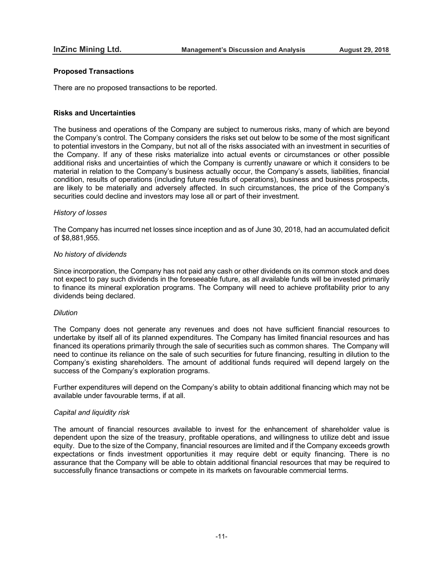# **Proposed Transactions**

There are no proposed transactions to be reported.

# **Risks and Uncertainties**

The business and operations of the Company are subject to numerous risks, many of which are beyond the Company's control. The Company considers the risks set out below to be some of the most significant to potential investors in the Company, but not all of the risks associated with an investment in securities of the Company. If any of these risks materialize into actual events or circumstances or other possible additional risks and uncertainties of which the Company is currently unaware or which it considers to be material in relation to the Company's business actually occur, the Company's assets, liabilities, financial condition, results of operations (including future results of operations), business and business prospects, are likely to be materially and adversely affected. In such circumstances, the price of the Company's securities could decline and investors may lose all or part of their investment.

#### *History of losses*

The Company has incurred net losses since inception and as of June 30, 2018, had an accumulated deficit of \$8,881,955.

# *No history of dividends*

Since incorporation, the Company has not paid any cash or other dividends on its common stock and does not expect to pay such dividends in the foreseeable future, as all available funds will be invested primarily to finance its mineral exploration programs. The Company will need to achieve profitability prior to any dividends being declared.

#### *Dilution*

The Company does not generate any revenues and does not have sufficient financial resources to undertake by itself all of its planned expenditures. The Company has limited financial resources and has financed its operations primarily through the sale of securities such as common shares. The Company will need to continue its reliance on the sale of such securities for future financing, resulting in dilution to the Company's existing shareholders. The amount of additional funds required will depend largely on the success of the Company's exploration programs.

Further expenditures will depend on the Company's ability to obtain additional financing which may not be available under favourable terms, if at all.

#### *Capital and liquidity risk*

The amount of financial resources available to invest for the enhancement of shareholder value is dependent upon the size of the treasury, profitable operations, and willingness to utilize debt and issue equity. Due to the size of the Company, financial resources are limited and if the Company exceeds growth expectations or finds investment opportunities it may require debt or equity financing. There is no assurance that the Company will be able to obtain additional financial resources that may be required to successfully finance transactions or compete in its markets on favourable commercial terms.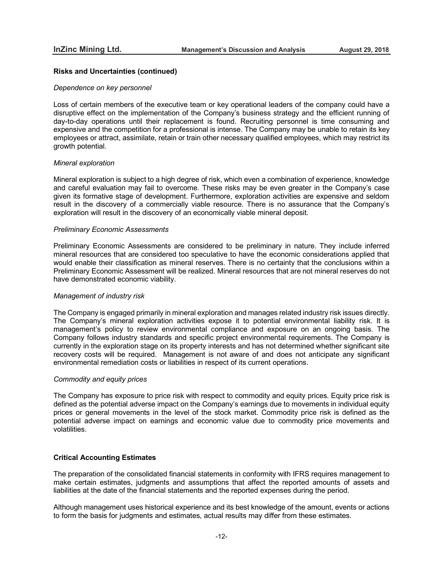## **Risks and Uncertainties (continued)**

#### *Dependence on key personnel*

Loss of certain members of the executive team or key operational leaders of the company could have a disruptive effect on the implementation of the Company's business strategy and the efficient running of day-to-day operations until their replacement is found. Recruiting personnel is time consuming and expensive and the competition for a professional is intense. The Company may be unable to retain its key employees or attract, assimilate, retain or train other necessary qualified employees, which may restrict its growth potential.

#### *Mineral exploration*

Mineral exploration is subject to a high degree of risk, which even a combination of experience, knowledge and careful evaluation may fail to overcome. These risks may be even greater in the Company's case given its formative stage of development. Furthermore, exploration activities are expensive and seldom result in the discovery of a commercially viable resource. There is no assurance that the Company's exploration will result in the discovery of an economically viable mineral deposit.

#### *Preliminary Economic Assessments*

Preliminary Economic Assessments are considered to be preliminary in nature. They include inferred mineral resources that are considered too speculative to have the economic considerations applied that would enable their classification as mineral reserves. There is no certainty that the conclusions within a Preliminary Economic Assessment will be realized. Mineral resources that are not mineral reserves do not have demonstrated economic viability.

#### *Management of industry risk*

The Company is engaged primarily in mineral exploration and manages related industry risk issues directly. The Company's mineral exploration activities expose it to potential environmental liability risk. It is management's policy to review environmental compliance and exposure on an ongoing basis. The Company follows industry standards and specific project environmental requirements. The Company is currently in the exploration stage on its property interests and has not determined whether significant site recovery costs will be required. Management is not aware of and does not anticipate any significant environmental remediation costs or liabilities in respect of its current operations.

#### *Commodity and equity prices*

The Company has exposure to price risk with respect to commodity and equity prices. Equity price risk is defined as the potential adverse impact on the Company's earnings due to movements in individual equity prices or general movements in the level of the stock market. Commodity price risk is defined as the potential adverse impact on earnings and economic value due to commodity price movements and volatilities.

## **Critical Accounting Estimates**

The preparation of the consolidated financial statements in conformity with IFRS requires management to make certain estimates, judgments and assumptions that affect the reported amounts of assets and liabilities at the date of the financial statements and the reported expenses during the period.

Although management uses historical experience and its best knowledge of the amount, events or actions to form the basis for judgments and estimates, actual results may differ from these estimates.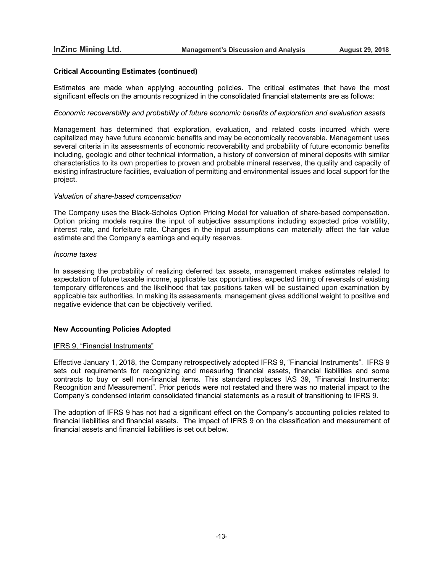# **Critical Accounting Estimates (continued)**

Estimates are made when applying accounting policies. The critical estimates that have the most significant effects on the amounts recognized in the consolidated financial statements are as follows:

#### *Economic recoverability and probability of future economic benefits of exploration and evaluation assets*

Management has determined that exploration, evaluation, and related costs incurred which were capitalized may have future economic benefits and may be economically recoverable. Management uses several criteria in its assessments of economic recoverability and probability of future economic benefits including, geologic and other technical information, a history of conversion of mineral deposits with similar characteristics to its own properties to proven and probable mineral reserves, the quality and capacity of existing infrastructure facilities, evaluation of permitting and environmental issues and local support for the project.

#### *Valuation of share-based compensation*

The Company uses the Black-Scholes Option Pricing Model for valuation of share-based compensation. Option pricing models require the input of subjective assumptions including expected price volatility, interest rate, and forfeiture rate. Changes in the input assumptions can materially affect the fair value estimate and the Company's earnings and equity reserves.

# *Income taxes*

In assessing the probability of realizing deferred tax assets, management makes estimates related to expectation of future taxable income, applicable tax opportunities, expected timing of reversals of existing temporary differences and the likelihood that tax positions taken will be sustained upon examination by applicable tax authorities. In making its assessments, management gives additional weight to positive and negative evidence that can be objectively verified.

# **New Accounting Policies Adopted**

#### IFRS 9, "Financial Instruments"

Effective January 1, 2018, the Company retrospectively adopted IFRS 9, "Financial Instruments". IFRS 9 sets out requirements for recognizing and measuring financial assets, financial liabilities and some contracts to buy or sell non-financial items. This standard replaces IAS 39, "Financial Instruments: Recognition and Measurement". Prior periods were not restated and there was no material impact to the Company's condensed interim consolidated financial statements as a result of transitioning to IFRS 9.

The adoption of IFRS 9 has not had a significant effect on the Company's accounting policies related to financial liabilities and financial assets. The impact of IFRS 9 on the classification and measurement of financial assets and financial liabilities is set out below.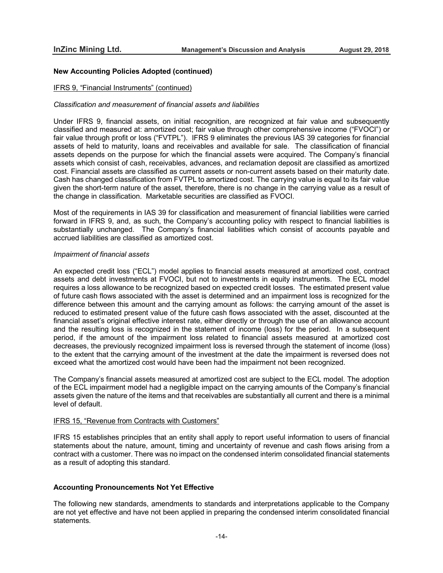# **New Accounting Policies Adopted (continued)**

#### IFRS 9, "Financial Instruments" (continued)

#### *Classification and measurement of financial assets and liabilities*

Under IFRS 9, financial assets, on initial recognition, are recognized at fair value and subsequently classified and measured at: amortized cost; fair value through other comprehensive income ("FVOCI") or fair value through profit or loss ("FVTPL"). IFRS 9 eliminates the previous IAS 39 categories for financial assets of held to maturity, loans and receivables and available for sale. The classification of financial assets depends on the purpose for which the financial assets were acquired. The Company's financial assets which consist of cash, receivables, advances, and reclamation deposit are classified as amortized cost. Financial assets are classified as current assets or non-current assets based on their maturity date. Cash has changed classification from FVTPL to amortized cost. The carrying value is equal to its fair value given the short-term nature of the asset, therefore, there is no change in the carrying value as a result of the change in classification. Marketable securities are classified as FVOCI.

Most of the requirements in IAS 39 for classification and measurement of financial liabilities were carried forward in IFRS 9, and, as such, the Company's accounting policy with respect to financial liabilities is substantially unchanged. The Company's financial liabilities which consist of accounts payable and accrued liabilities are classified as amortized cost.

#### *Impairment of financial assets*

An expected credit loss ("ECL") model applies to financial assets measured at amortized cost, contract assets and debt investments at FVOCI, but not to investments in equity instruments. The ECL model requires a loss allowance to be recognized based on expected credit losses. The estimated present value of future cash flows associated with the asset is determined and an impairment loss is recognized for the difference between this amount and the carrying amount as follows: the carrying amount of the asset is reduced to estimated present value of the future cash flows associated with the asset, discounted at the financial asset's original effective interest rate, either directly or through the use of an allowance account and the resulting loss is recognized in the statement of income (loss) for the period. In a subsequent period, if the amount of the impairment loss related to financial assets measured at amortized cost decreases, the previously recognized impairment loss is reversed through the statement of income (loss) to the extent that the carrying amount of the investment at the date the impairment is reversed does not exceed what the amortized cost would have been had the impairment not been recognized.

The Company's financial assets measured at amortized cost are subject to the ECL model. The adoption of the ECL impairment model had a negligible impact on the carrying amounts of the Company's financial assets given the nature of the items and that receivables are substantially all current and there is a minimal level of default.

#### IFRS 15, "Revenue from Contracts with Customers"

IFRS 15 establishes principles that an entity shall apply to report useful information to users of financial statements about the nature, amount, timing and uncertainty of revenue and cash flows arising from a contract with a customer. There was no impact on the condensed interim consolidated financial statements as a result of adopting this standard.

#### **Accounting Pronouncements Not Yet Effective**

The following new standards, amendments to standards and interpretations applicable to the Company are not yet effective and have not been applied in preparing the condensed interim consolidated financial statements.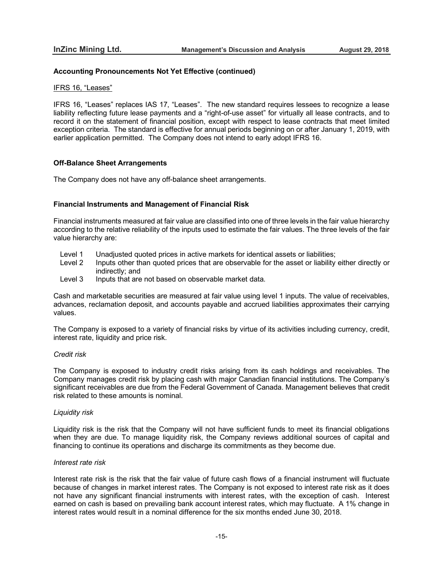# **Accounting Pronouncements Not Yet Effective (continued)**

#### IFRS 16, "Leases"

IFRS 16, "Leases" replaces IAS 17, "Leases". The new standard requires lessees to recognize a lease liability reflecting future lease payments and a "right-of-use asset" for virtually all lease contracts, and to record it on the statement of financial position, except with respect to lease contracts that meet limited exception criteria. The standard is effective for annual periods beginning on or after January 1, 2019, with earlier application permitted. The Company does not intend to early adopt IFRS 16.

# **Off-Balance Sheet Arrangements**

The Company does not have any off-balance sheet arrangements.

# **Financial Instruments and Management of Financial Risk**

Financial instruments measured at fair value are classified into one of three levels in the fair value hierarchy according to the relative reliability of the inputs used to estimate the fair values. The three levels of the fair value hierarchy are:

- Level 1 Unadjusted quoted prices in active markets for identical assets or liabilities;<br>Level 2 Inputs other than quoted prices that are observable for the asset or liability
- Inputs other than quoted prices that are observable for the asset or liability either directly or indirectly; and
- Level 3 Inputs that are not based on observable market data.

Cash and marketable securities are measured at fair value using level 1 inputs. The value of receivables, advances, reclamation deposit, and accounts payable and accrued liabilities approximates their carrying values.

The Company is exposed to a variety of financial risks by virtue of its activities including currency, credit, interest rate, liquidity and price risk.

#### *Credit risk*

The Company is exposed to industry credit risks arising from its cash holdings and receivables. The Company manages credit risk by placing cash with major Canadian financial institutions. The Company's significant receivables are due from the Federal Government of Canada. Management believes that credit risk related to these amounts is nominal.

#### *Liquidity risk*

Liquidity risk is the risk that the Company will not have sufficient funds to meet its financial obligations when they are due. To manage liquidity risk, the Company reviews additional sources of capital and financing to continue its operations and discharge its commitments as they become due.

#### *Interest rate risk*

Interest rate risk is the risk that the fair value of future cash flows of a financial instrument will fluctuate because of changes in market interest rates. The Company is not exposed to interest rate risk as it does not have any significant financial instruments with interest rates, with the exception of cash. Interest earned on cash is based on prevailing bank account interest rates, which may fluctuate. A 1% change in interest rates would result in a nominal difference for the six months ended June 30, 2018.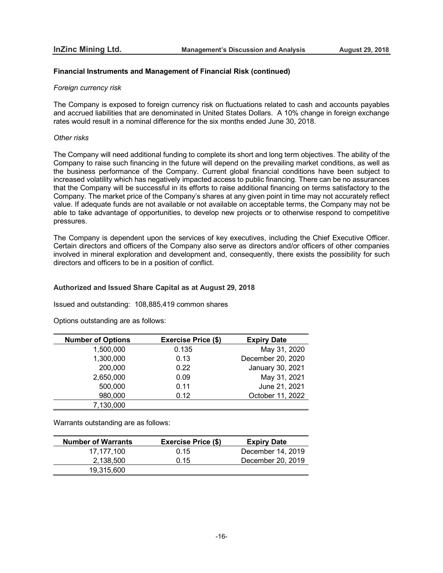# **Financial Instruments and Management of Financial Risk (continued)**

## *Foreign currency risk*

The Company is exposed to foreign currency risk on fluctuations related to cash and accounts payables and accrued liabilities that are denominated in United States Dollars. A 10% change in foreign exchange rates would result in a nominal difference for the six months ended June 30, 2018.

# *Other risks*

The Company will need additional funding to complete its short and long term objectives. The ability of the Company to raise such financing in the future will depend on the prevailing market conditions, as well as the business performance of the Company. Current global financial conditions have been subject to increased volatility which has negatively impacted access to public financing. There can be no assurances that the Company will be successful in its efforts to raise additional financing on terms satisfactory to the Company. The market price of the Company's shares at any given point in time may not accurately reflect value. If adequate funds are not available or not available on acceptable terms, the Company may not be able to take advantage of opportunities, to develop new projects or to otherwise respond to competitive pressures.

The Company is dependent upon the services of key executives, including the Chief Executive Officer. Certain directors and officers of the Company also serve as directors and/or officers of other companies involved in mineral exploration and development and, consequently, there exists the possibility for such directors and officers to be in a position of conflict.

# **Authorized and Issued Share Capital as at August 29, 2018**

Issued and outstanding: 108,885,419 common shares

Options outstanding are as follows:

| <b>Number of Options</b> | <b>Exercise Price (\$)</b> | <b>Expiry Date</b> |
|--------------------------|----------------------------|--------------------|
| 1,500,000                | 0.135                      | May 31, 2020       |
| 1,300,000                | 0.13                       | December 20, 2020  |
| 200,000                  | 0.22                       | January 30, 2021   |
| 2,650,000                | 0.09                       | May 31, 2021       |
| 500,000                  | 0.11                       | June 21, 2021      |
| 980,000                  | 0.12                       | October 11, 2022   |
| 7,130,000                |                            |                    |

Warrants outstanding are as follows:

| <b>Number of Warrants</b> | <b>Exercise Price (\$)</b> | <b>Expiry Date</b> |
|---------------------------|----------------------------|--------------------|
| 17.177.100                | 0.15                       | December 14, 2019  |
| 2.138.500                 | 0.15                       | December 20, 2019  |
| 19,315,600                |                            |                    |